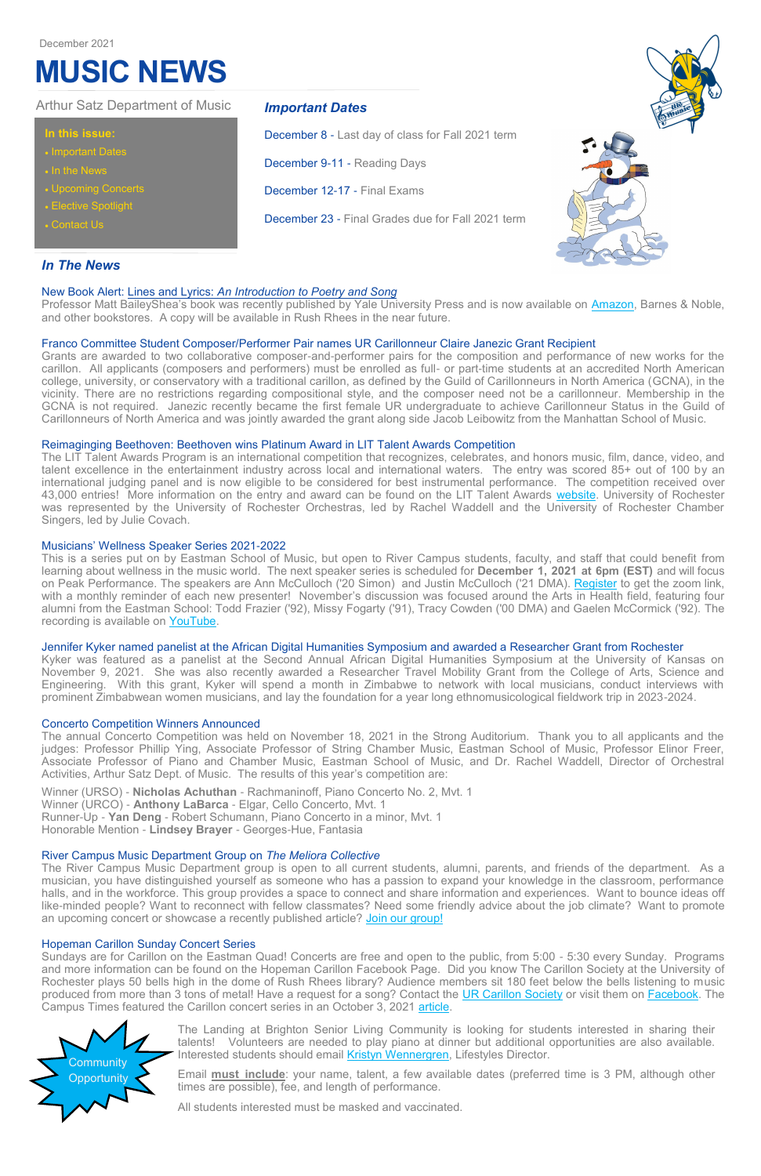# *In The News*

#### New Book Alert: Lines and Lyrics: *An Introduction to Poetry and Song*

Professor Matt BaileyShea's book was recently published by Yale University Press and is now available on [Amazon,](https://www.amazon.com/Lines-Lyrics-Introduction-Poetry-Song/dp/030024567X/ref=sr_1_2?keywords=lines+and+lyrics&qid=1636648327&sr=8-2) Barnes & Noble, and other bookstores. A copy will be available in Rush Rhees in the near future.

#### Franco Committee Student Composer/Performer Pair names UR Carillonneur Claire Janezic Grant Recipient

Grants are awarded to two collaborative composer-and-performer pairs for the composition and performance of new works for the carillon. All applicants (composers and performers) must be enrolled as full- or part-time students at an accredited North American college, university, or conservatory with a traditional carillon, as defined by the Guild of Carillonneurs in North America (GCNA), in the vicinity. There are no restrictions regarding compositional style, and the composer need not be a carillonneur. Membership in the GCNA is not required. Janezic recently became the first female UR undergraduate to achieve Carillonneur Status in the Guild of Carillonneurs of North America and was jointly awarded the grant along side Jacob Leibowitz from the Manhattan School of Music.

This is a series put on by Eastman School of Music, but open to River Campus students, faculty, and staff that could benefit from learning about wellness in the music world. The next speaker series is scheduled for **December 1, 2021 at 6pm (EST)** and will focus on Peak Performance. The speakers are Ann McCulloch ('20 Simon) and Justin McCulloch ('21 DMA). [Register](https://urmc.zoom.us/webinar/register/WN_BVVcTmj5Sy6b8z5XwMmm5Q) to get the zoom link, with a monthly reminder of each new presenter! November's discussion was focused around the Arts in Health field, featuring four alumni from the Eastman School: Todd Frazier ('92), Missy Fogarty ('91), Tracy Cowden ('00 DMA) and Gaelen McCormick ('92). The recording is available on [YouTube.](https://www.youtube.com/watch?v=_8_dwjEuLBM)

#### Reimaginging Beethoven: Beethoven wins Platinum Award in LIT Talent Awards Competition

The LIT Talent Awards Program is an international competition that recognizes, celebrates, and honors music, film, dance, video, and talent excellence in the entertainment industry across local and international waters. The entry was scored 85+ out of 100 by an international judging panel and is now eligible to be considered for best instrumental performance. The competition received over 43,000 entries! More information on the entry and award can be found on the LIT Talent Awards [website.](https://littalentawards.com/winner-info.php?id=204) University of Rochester was represented by the University of Rochester Orchestras, led by Rachel Waddell and the University of Rochester Chamber Singers, led by Julie Covach.

#### Musicians' Wellness Speaker Series 2021-2022

#### Jennifer Kyker named panelist at the African Digital Humanities Symposium and awarded a Researcher Grant from Rochester

The Landing at Brighton Senior Living Community is looking for students interested in sharing their talents! Volunteers are needed to play piano at dinner but additional opportunities are also available. Interested students should email [Kristyn Wennergren,](mailto:Kristyn.Wennergren@LandingofBrighton.com) Lifestyles Director.

Kyker was featured as a panelist at the Second Annual African Digital Humanities Symposium at the University of Kansas on November 9, 2021. She was also recently awarded a Researcher Travel Mobility Grant from the College of Arts, Science and Engineering. With this grant, Kyker will spend a month in Zimbabwe to network with local musicians, conduct interviews with prominent Zimbabwean women musicians, and lay the foundation for a year long ethnomusicological fieldwork trip in 2023-2024.

#### Concerto Competition Winners Announced

The annual Concerto Competition was held on November 18, 2021 in the Strong Auditorium. Thank you to all applicants and the judges: Professor Phillip Ying, Associate Professor of String Chamber Music, Eastman School of Music, Professor Elinor Freer, Associate Professor of Piano and Chamber Music, Eastman School of Music, and Dr. Rachel Waddell, Director of Orchestral Activities, Arthur Satz Dept. of Music. The results of this year's competition are:

Winner (URSO) - **Nicholas Achuthan** - Rachmaninoff, Piano Concerto No. 2, Mvt. 1 Winner (URCO) - **Anthony LaBarca** - Elgar, Cello Concerto, Mvt. 1 Runner-Up - **Yan Deng** - Robert Schumann, Piano Concerto in a minor, Mvt. 1 Honorable Mention - **Lindsey Brayer** - Georges-Hue, Fantasia

#### River Campus Music Department Group on *The Meliora Collective*

The River Campus Music Department group is open to all current students, alumni, parents, and friends of the department. As a musician, you have distinguished yourself as someone who has a passion to expand your knowledge in the classroom, performance halls, and in the workforce. This group provides a space to connect and share information and experiences. Want to bounce ideas off like-minded people? Want to reconnect with fellow classmates? Need some friendly advice about the job climate? Want to promote an upcoming concert or showcase a recently published article? [Join our group!](https://thecollective.rochester.edu/hub/rochester/groups-v2/river-campus-music-department/about)

#### Hopeman Carillon Sunday Concert Series

Sundays are for Carillon on the Eastman Quad! Concerts are free and open to the public, from 5:00 - 5:30 every Sunday. Programs and more information can be found on the Hopeman Carillon Facebook Page. Did you know The Carillon Society at the University of Rochester plays 50 bells high in the dome of Rush Rhees library? Audience members sit 180 feet below the bells listening to music produced from more than 3 tons of metal! Have a request for a song? Contact the [UR Carillon Society](https://docs.google.com/forms/d/e/1FAIpQLSf7D-lmJE6-zqLZVeeu6IPBl86NobS_5GFSu_3CZHJ1bxk7-w/viewform) or visit them on [Facebook.](https://www.facebook.com/HopemanCarillon) The Campus Times featured the Carillon concert series in an October 3, 2021 [article.](http://www.campustimes.org/2021/10/03/carillon-concerts-ring-in-new-semester/?fbclid=IwAR2GyDKDEseEjGuj6OiR1t2xW9c1k18jr6vldOZStaUVZ7fR7hz_bJTrpVI)

## **In this issue:**

- **Important Dates**
- In the News
- Upcoming Concerts
- **Elective Spotlight**
- Contact Us

# Arthur Satz Department of Music *Important Dates*

December 8 - Last day of class for Fall 2021 term

December 9-11 - Reading Days

December 12-17 - Final Exams

December 23 - Final Grades due for Fall 2021 term

# **MUSIC NEWS**

December 2021



Email **must include**: your name, talent, a few available dates (preferred time is 3 PM, although other times are possible), fee, and length of performance.

All students interested must be masked and vaccinated.